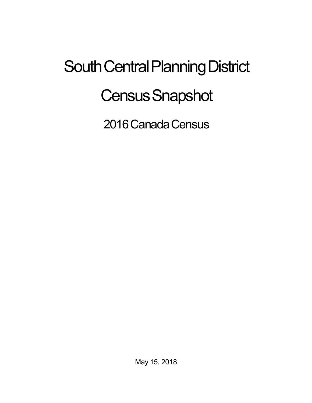## South Central Planning District **Census Snapshot**

2016 Canada Census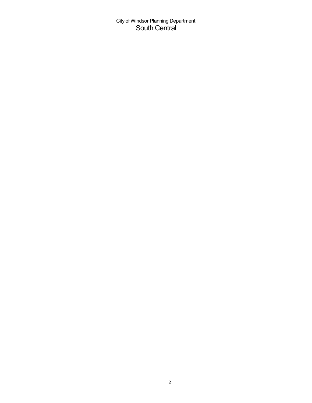City of Windsor Planning Department South Central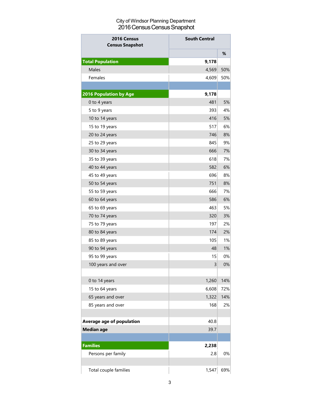## City of Windsor Planning Department 2016 Census Census Snapshot

| 2016 Census<br><b>Census Snapshot</b> | <b>South Central</b> |     |
|---------------------------------------|----------------------|-----|
|                                       |                      | %   |
| <b>Total Population</b>               | 9,178                |     |
| Males                                 | 4,569                | 50% |
| Females                               | 4,609                | 50% |
|                                       |                      |     |
| <b>2016 Population by Age</b>         | 9,178                |     |
| 0 to 4 years                          | 481                  | 5%  |
| 5 to 9 years                          | 393                  | 4%  |
| 10 to 14 years                        | 416                  | 5%  |
| 15 to 19 years                        | 517                  | 6%  |
| 20 to 24 years                        | 746                  | 8%  |
| 25 to 29 years                        | 845                  | 9%  |
| 30 to 34 years                        | 666                  | 7%  |
| 35 to 39 years                        | 618                  | 7%  |
| 40 to 44 years                        | 582                  | 6%  |
| 45 to 49 years                        | 696                  | 8%  |
| 50 to 54 years                        | 751                  | 8%  |
| 55 to 59 years                        | 666                  | 7%  |
| 60 to 64 years                        | 586                  | 6%  |
| 65 to 69 years                        | 463                  | 5%  |
| 70 to 74 years                        | 320                  | 3%  |
| 75 to 79 years                        | 197                  | 2%  |
| 80 to 84 years                        | 174                  | 2%  |
| 85 to 89 years                        | 105                  | 1%  |
| 90 to 94 years                        | 48                   | 1%  |
| 95 to 99 years                        | 15                   | 0%  |
| 100 years and over                    | 3                    | 0%  |
|                                       |                      |     |
| 0 to 14 years                         | 1,260                | 14% |
| 15 to 64 years                        | 6,608                | 72% |
| 65 years and over                     | 1,322                | 14% |
| 85 years and over                     | 168                  | 2%  |
|                                       |                      |     |
| Average age of population             | 40.8                 |     |
| <b>Median age</b>                     | 39.7                 |     |
|                                       |                      |     |
| <b>Families</b>                       | 2,238                |     |
| Persons per family                    | 2.8                  | 0%  |
|                                       |                      |     |
| Total couple families                 | 1,547                | 69% |